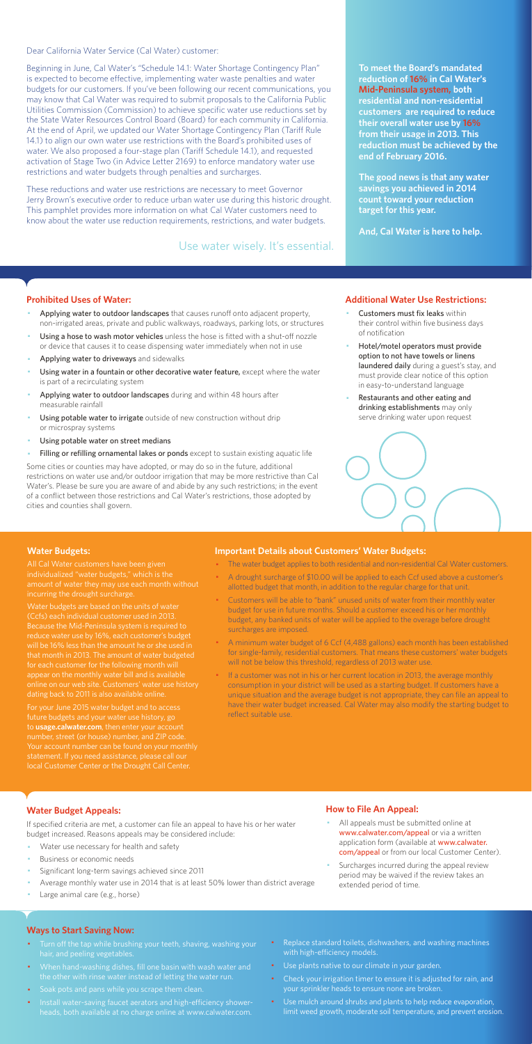Dear California Water Service (Cal Water) customer:

Beginning in June, Cal Water's "Schedule 14.1: Water Shortage Contingency Plan" is expected to become effective, implementing water waste penalties and water budgets for our customers. If you've been following our recent communications, you may know that Cal Water was required to submit proposals to the California Public Utilities Commission (Commission) to achieve specific water use reductions set by the State Water Resources Control Board (Board) for each community in California. At the end of April, we updated our Water Shortage Contingency Plan (Tariff Rule 14.1) to align our own water use restrictions with the Board's prohibited uses of water. We also proposed a four-stage plan (Tariff Schedule 14.1), and requested activation of Stage Two (in Advice Letter 2169) to enforce mandatory water use restrictions and water budgets through penalties and surcharges.

These reductions and water use restrictions are necessary to meet Governor Jerry Brown's executive order to reduce urban water use during this historic drought. This pamphlet provides more information on what Cal Water customers need to know about the water use reduction requirements, restrictions, and water budgets.

#### **Prohibited Uses of Water:**

- Applying water to outdoor landscapes that causes runoff onto adjacent property, non-irrigated areas, private and public walkways, roadways, parking lots, or structures
- Using a hose to wash motor vehicles unless the hose is fitted with a shut-off nozzle or device that causes it to cease dispensing water immediately when not in use
- Applying water to driveways and sidewalks
- Using water in a fountain or other decorative water feature, except where the water is part of a recirculating system
- Applying water to outdoor landscapes during and within 48 hours after measurable rainfall
- Using potable water to irrigate outside of new construction without drip or microspray systems
- Using potable water on street medians
- Filling or refilling ornamental lakes or ponds except to sustain existing aquatic life
- Customers must fix leaks within their control within five business days of notification
- Hotel/motel operators must provide option to not have towels or linens laundered daily during a guest's stay, and must provide clear notice of this option in easy-to-understand language
- Restaurants and other eating and drinking establishments may only serve drinking water upon request



- All appeals must be submitted online at www.calwater.com/appeal or via a written application form (available at www.calwater. com/appeal or from our local Customer Center).
- · Surcharges incurred during the appeal review period may be waived if the review takes an extended period of time.

Some cities or counties may have adopted, or may do so in the future, additional restrictions on water use and/or outdoor irrigation that may be more restrictive than Cal Water's. Please be sure you are aware of and abide by any such restrictions; in the event of a conflict between those restrictions and Cal Water's restrictions, those adopted by cities and counties shall govern.

- Turn off the tap while brushing your teeth, shaving, washing your hair, and peeling vegetables.
- · When hand-washing dishes, fill one basin with wash water and the other with rinse water instead of letting the water run.
- · Soak pots and pans while you scrape them clean.
- · Install water-saving faucet aerators and high-efficiency showerheads, both available at no charge online at www.calwater.com.
- Replace standard toilets, dishwashers, and washing machines with high-efficiency models.
- · Use plants native to our climate in your garden.
- Check your irrigation timer to ensure it is adjusted for rain, and your sprinkler heads to ensure none are broken.
- · Use mulch around shrubs and plants to help reduce evaporation, limit weed growth, moderate soil temperature, and prevent erosion.

**To meet the Board's mandated reduction of 16% in Cal Water's Mid-Peninsula system, both residential and non-residential customers are required to reduce their overall water use by 16% from their usage in 2013. This reduction must be achieved by the end of February 2016.** 

**The good news is that any water savings you achieved in 2014 count toward your reduction target for this year.** 

**And, Cal Water is here to help.** 

#### **Additional Water Use Restrictions:**

### **Water Budget Appeals:**

If specified criteria are met, a customer can file an appeal to have his or her water budget increased. Reasons appeals may be considered include:

- Water use necessary for health and safety
- Business or economic needs
- Significant long-term savings achieved since 2011
- Average monthly water use in 2014 that is at least 50% lower than district average
- Large animal care (e.g., horse)

If a customer was not in his or her current location in 2013, the average monthly consumption in your district will be used as a starting budget. If customers have a unique situation and the average budget is not appropriate, they can file an appeal to have their water budget increased. Cal Water may also modify the starting budget to reflect suitable use.

## **How to File An Appeal:**

#### **Ways to Start Saving Now:**

Use water wisely. It's essential.

#### **Water Budgets:**

individualized "water budgets," which is the incurring the drought surcharge.

Water budgets are based on the units of water (Ccfs) each individual customer used in 2013. reduce water use by 16%, each customer's budget that month in 2013. The amount of water budgeted for each customer for the following month will appear on the monthly water bill and is available dating back to 2011 is also available online.

For your June 2015 water budget and to access future budgets and your water use history, go to **usage.calwater.com**, then enter your account number, street (or house) number, and ZIP code. local Customer Center or the Drought Call Center.

#### **Important Details about Customers' Water Budgets:**

- · The water budget applies to both residential and non-residential Cal Water customers.
- · A drought surcharge of \$10.00 will be applied to each Ccf used above a customer's allotted budget that month, in addition to the regular charge for that unit.
- · Customers will be able to "bank" unused units of water from their monthly water budget for use in future months. Should a customer exceed his or her monthly budget, any banked units of water will be applied to the overage before drought surcharges are imposed.
- · A minimum water budget of 6 Ccf (4,488 gallons) each month has been established for single-family, residential customers. That means these customers' water budgets will not be below this threshold, regardless of 2013 water use.